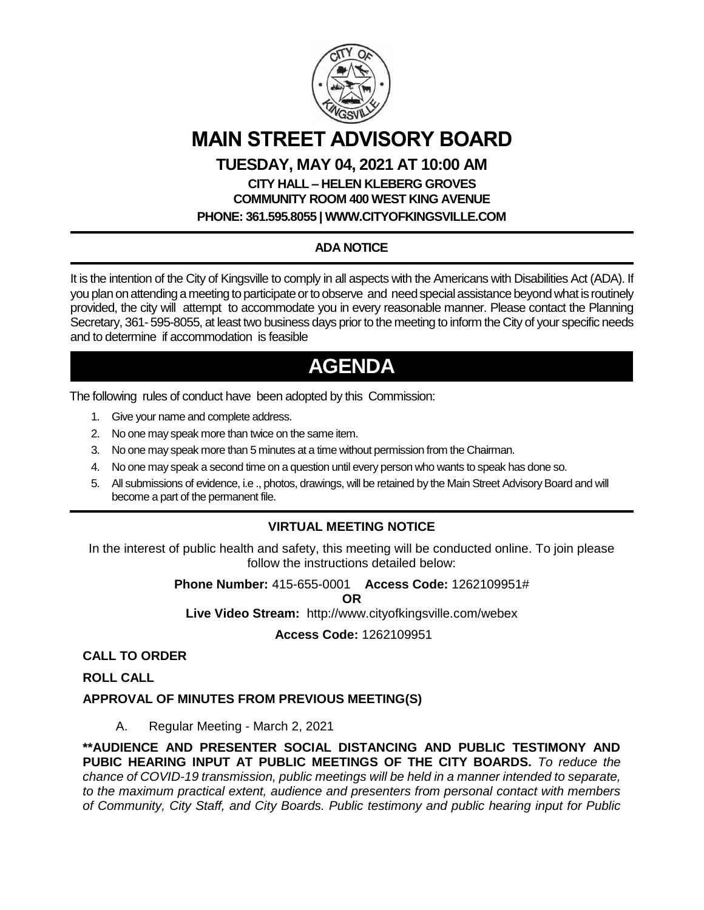

# **MAIN STREET ADVISORY BOARD**

### **TUESDAY, MAY 04, 2021 AT 10:00 AM**

# **CITY HALL – HELEN KLEBERG GROVES COMMUNITY ROOM 400 WEST KING AVENUE**

**PHONE: 361.595.8055 | WWW.CITYOFKINGSVILLE.COM**

## **ADA NOTICE**

It is the intention of the City of Kingsville to comply in all aspects with the Americans with Disabilities Act (ADA). If you plan on attending a meeting to participate or to observe and need special assistance beyond what is routinely provided, the city will attempt to accommodate you in every reasonable manner. Please contact the Planning Secretary, 361- 595-8055, at least two business days prior to the meeting to inform the City of your specific needs and to determine if accommodation is feasible

# **AGENDA**

The following rules of conduct have been adopted by this Commission:

- 1. Give your name and complete address.
- 2. No one may speak more than twice on the same item.
- 3. No one may speak more than 5 minutes at a time without permission from the Chairman.
- 4. No one may speak a second time on a question until every person who wants to speak has done so.
- 5. All submissions of evidence, i.e ., photos, drawings, will be retained by the Main Street Advisory Board and will become a part of the permanent file.

### **VIRTUAL MEETING NOTICE**

In the interest of public health and safety, this meeting will be conducted online. To join please follow the instructions detailed below:

**Phone Number:** 415-655-0001 **Access Code:** 1262109951#

**OR**

**Live Video Stream:** http://www.cityofkingsville.com/webex

**Access Code:** 1262109951

**CALL TO ORDER**

**ROLL CALL**

**APPROVAL OF MINUTES FROM PREVIOUS MEETING(S)**

A. Regular Meeting - March 2, 2021

**\*\*AUDIENCE AND PRESENTER SOCIAL DISTANCING AND PUBLIC TESTIMONY AND PUBIC HEARING INPUT AT PUBLIC MEETINGS OF THE CITY BOARDS.** *To reduce the chance of COVID-19 transmission, public meetings will be held in a manner intended to separate, to the maximum practical extent, audience and presenters from personal contact with members of Community, City Staff, and City Boards. Public testimony and public hearing input for Public*